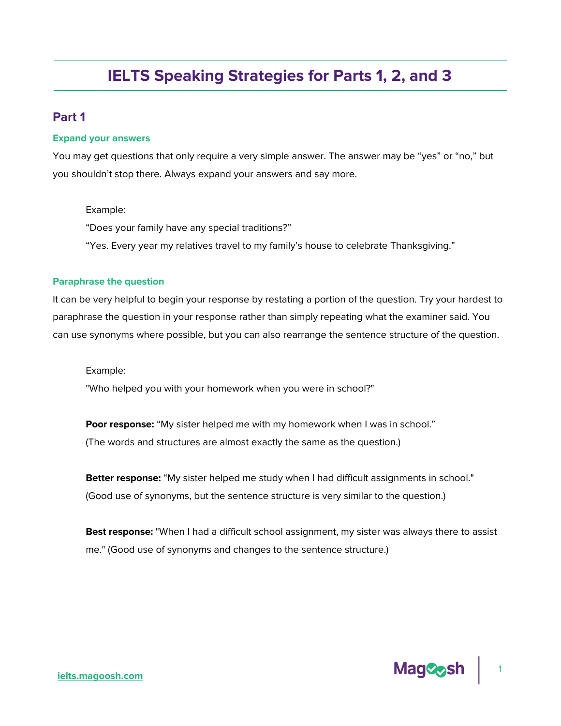# **IELTS Speaking Strategies for Parts 1, 2, and 3**

# **Part 1**

#### **Expand your answers**

You may get questions that only require a very simple answer. The answer may be "yes" or "no," but you shouldn't stop there. Always expand your answers and say more.

#### Example:

"Does your family have any special traditions?"

"Yes. Every year my relatives travel to my family's house to celebrate Thanksgiving."

#### **Paraphrase the question**

It can be very helpful to begin your response by restating a portion of the question. Try your hardest to paraphrase the question in your response rather than simply repeating what the examiner said. You can use synonyms where possible, but you can also rearrange the sentence structure of the question.

Example:

"Who helped you with your homework when you were in school?"

**Poor response:** "My sister helped me with my homework when I was in school." (The words and structures are almost exactly the same as the question.)

**Better response:** "My sister helped me study when I had difficult assignments in school." (Good use of synonyms, but the sentence structure is very similar to the question.)

**Best response:** "When I had a difficult school assignment, my sister was always there to assist me." (Good use of synonyms and changes to the sentence structure.)

1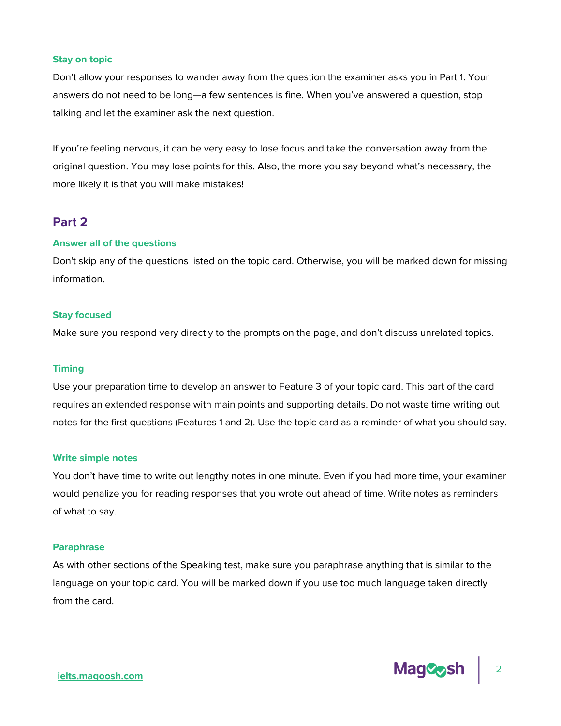#### **Stay on topic**

Don't allow your responses to wander away from the question the examiner asks you in Part 1. Your answers do not need to be long—a few sentences is fine. When you've answered a question, stop talking and let the examiner ask the next question.

If you're feeling nervous, it can be very easy to lose focus and take the conversation away from the original question. You may lose points for this. Also, the more you say beyond what's necessary, the more likely it is that you will make mistakes!

# **Part 2**

#### **Answer all of the questions**

Don't skip any of the questions listed on the topic card. Otherwise, you will be marked down for missing information.

#### **Stay focused**

Make sure you respond very directly to the prompts on the page, and don't discuss unrelated topics.

#### **Timing**

Use your preparation time to develop an answer to Feature 3 of your topic card. This part of the card requires an extended response with main points and supporting details. Do not waste time writing out notes for the first questions (Features 1 and 2). Use the topic card as a reminder of what you should say.

#### **Write simple notes**

You don't have time to write out lengthy notes in one minute. Even if you had more time, your examiner would penalize you for reading responses that you wrote out ahead of time. Write notes as reminders of what to say.

#### **Paraphrase**

As with other sections of the Speaking test, make sure you paraphrase anything that is similar to the language on your topic card. You will be marked down if you use too much language taken directly from the card.

**Mag&osh** 

2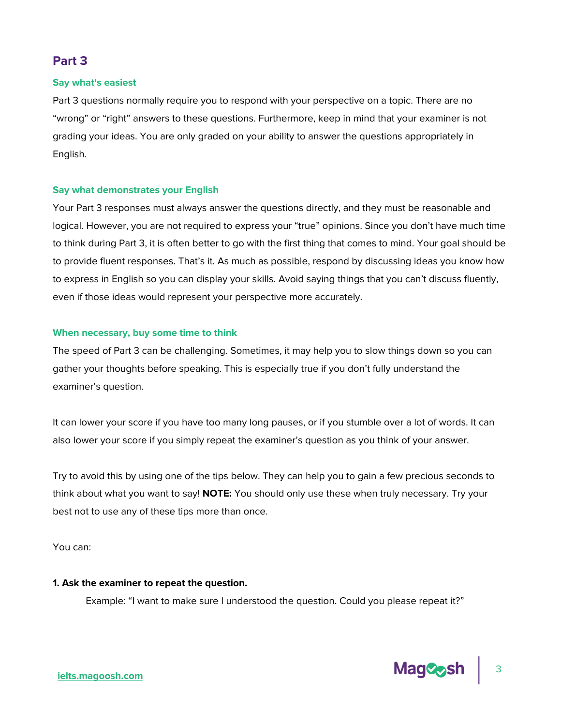# **Part 3**

## **Say what's easiest**

Part 3 questions normally require you to respond with your perspective on a topic. There are no "wrong" or "right" answers to these questions. Furthermore, keep in mind that your examiner is not grading your ideas. You are only graded on your ability to answer the questions appropriately in English.

### **Say what demonstrates your English**

Your Part 3 responses must always answer the questions directly, and they must be reasonable and logical. However, you are not required to express your "true" opinions. Since you don't have much time to think during Part 3, it is often better to go with the first thing that comes to mind. Your goal should be to provide fluent responses. That's it. As much as possible, respond by discussing ideas you know how to express in English so you can display your skills. Avoid saying things that you can't discuss fluently, even if those ideas would represent your perspective more accurately.

# **When necessary, buy some time to think**

The speed of Part 3 can be challenging. Sometimes, it may help you to slow things down so you can gather your thoughts before speaking. This is especially true if you don't fully understand the examiner's question.

It can lower your score if you have too many long pauses, or if you stumble over a lot of words. It can also lower your score if you simply repeat the examiner's question as you think of your answer.

Try to avoid this by using one of the tips below. They can help you to gain a few precious seconds to think about what you want to say! **NOTE:** You should only use these when truly necessary. Try your best not to use any of these tips more than once.

You can:

# **1. Ask the examiner to repeat the question.**

Example: "I want to make sure I understood the question. Could you please repeat it?"